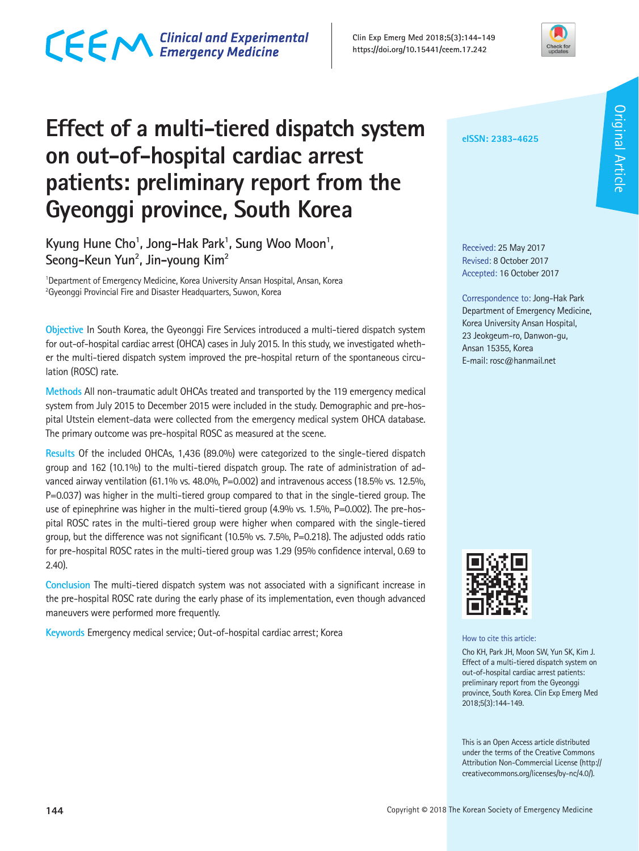**Effect of a multi-tiered dispatch system on out-of-hospital cardiac arrest patients: preliminary report from the Gyeonggi province, South Korea**

Kyung Hune Cho<sup>1</sup>, Jong-Hak Park<sup>1</sup>, Sung Woo Moon<sup>1</sup>, **Seong-Keun Yun2 , Jin-young Kim2**

<sup>1</sup>Department of Emergency Medicine, Korea University Ansan Hospital, Ansan, Korea  $^{2}$ Gyeonggi Provincial Fire and Disaster Headquarters, Suwon, Korea

**Objective** In South Korea, the Gyeonggi Fire Services introduced a multi-tiered dispatch system for out-of-hospital cardiac arrest (OHCA) cases in July 2015. In this study, we investigated whether the multi-tiered dispatch system improved the pre-hospital return of the spontaneous circulation (ROSC) rate.

**Methods** All non-traumatic adult OHCAs treated and transported by the 119 emergency medical system from July 2015 to December 2015 were included in the study. Demographic and pre-hospital Utstein element-data were collected from the emergency medical system OHCA database. The primary outcome was pre-hospital ROSC as measured at the scene.

**Results** Of the included OHCAs, 1,436 (89.0%) were categorized to the single-tiered dispatch group and 162 (10.1%) to the multi-tiered dispatch group. The rate of administration of advanced airway ventilation (61.1% vs. 48.0%, P=0.002) and intravenous access (18.5% vs. 12.5%, P=0.037) was higher in the multi-tiered group compared to that in the single-tiered group. The use of epinephrine was higher in the multi-tiered group (4.9% vs. 1.5%, P=0.002). The pre-hospital ROSC rates in the multi-tiered group were higher when compared with the single-tiered group, but the difference was not significant (10.5% vs. 7.5%, P=0.218). The adjusted odds ratio for pre-hospital ROSC rates in the multi-tiered group was 1.29 (95% confidence interval, 0.69 to 2.40).

**Conclusion** The multi-tiered dispatch system was not associated with a significant increase in the pre-hospital ROSC rate during the early phase of its implementation, even though advanced maneuvers were performed more frequently.

**Keywords** Emergency medical service; Out-of-hospital cardiac arrest; Korea

**Clin Exp Emerg Med 2018;5(3):144-149**

**eISSN: 2383-4625**

Received: 25 May 2017 Revised: 8 October 2017 Accepted: 16 October 2017

Correspondence to: Jong-Hak Park Department of Emergency Medicine, Korea University Ansan Hospital, 23 Jeokgeum-ro, Danwon-gu, Ansan 15355, Korea E-mail: rosc@hanmail.net



How to cite this article:

Cho KH, Park JH, Moon SW, Yun SK, Kim J. Effect of a multi-tiered dispatch system on out-of-hospital cardiac arrest patients: preliminary report from the Gyeonggi province, South Korea. Clin Exp Emerg Med 2018;5(3):144-149.

This is an Open Access article distributed under the terms of the Creative Commons Attribution Non-Commercial License (http:// creativecommons.org/licenses/by-nc/4.0/).

# CECM Clinical and Experimental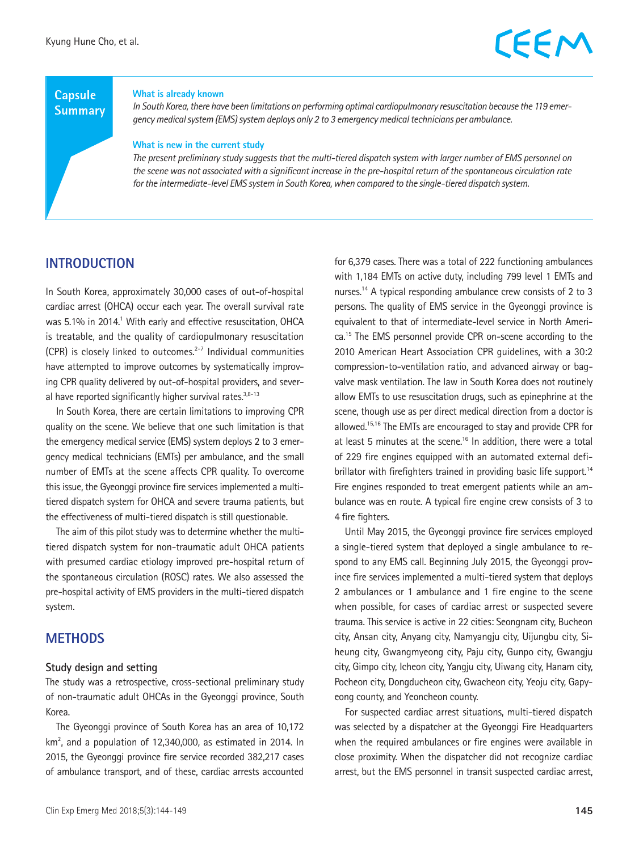# **Capsule**

#### **What is already known**

**Summary** 

*In South Korea, there have been limitations on performing optimal cardiopulmonary resuscitation because the 119 emergency medical system (EMS) system deploys only 2 to 3 emergency medical technicians per ambulance.*

#### **What is new in the current study**

*The present preliminary study suggests that the multi-tiered dispatch system with larger number of EMS personnel on the scene was not associated with a significant increase in the pre-hospital return of the spontaneous circulation rate for the intermediate-level EMS system in South Korea, when compared to the single-tiered dispatch system.*

### **INTRODUCTION**

In South Korea, approximately 30,000 cases of out-of-hospital cardiac arrest (OHCA) occur each year. The overall survival rate was 5.1% in 2014.<sup>1</sup> With early and effective resuscitation, OHCA is treatable, and the quality of cardiopulmonary resuscitation (CPR) is closely linked to outcomes. $2-7$  Individual communities have attempted to improve outcomes by systematically improving CPR quality delivered by out-of-hospital providers, and several have reported significantly higher survival rates. $3,8-13$ 

In South Korea, there are certain limitations to improving CPR quality on the scene. We believe that one such limitation is that the emergency medical service (EMS) system deploys 2 to 3 emergency medical technicians (EMTs) per ambulance, and the small number of EMTs at the scene affects CPR quality. To overcome this issue, the Gyeonggi province fire services implemented a multitiered dispatch system for OHCA and severe trauma patients, but the effectiveness of multi-tiered dispatch is still questionable.

The aim of this pilot study was to determine whether the multitiered dispatch system for non-traumatic adult OHCA patients with presumed cardiac etiology improved pre-hospital return of the spontaneous circulation (ROSC) rates. We also assessed the pre-hospital activity of EMS providers in the multi-tiered dispatch system.

## **METHODS**

#### **Study design and setting**

The study was a retrospective, cross-sectional preliminary study of non-traumatic adult OHCAs in the Gyeonggi province, South Korea.

The Gyeonggi province of South Korea has an area of 10,172  $km<sup>2</sup>$ , and a population of 12,340,000, as estimated in 2014. In 2015, the Gyeonggi province fire service recorded 382,217 cases of ambulance transport, and of these, cardiac arrests accounted

for 6,379 cases. There was a total of 222 functioning ambulances with 1,184 EMTs on active duty, including 799 level 1 EMTs and nurses.14 A typical responding ambulance crew consists of 2 to 3 persons. The quality of EMS service in the Gyeonggi province is equivalent to that of intermediate-level service in North America.15 The EMS personnel provide CPR on-scene according to the 2010 American Heart Association CPR guidelines, with a 30:2 compression-to-ventilation ratio, and advanced airway or bagvalve mask ventilation. The law in South Korea does not routinely allow EMTs to use resuscitation drugs, such as epinephrine at the scene, though use as per direct medical direction from a doctor is allowed.15,16 The EMTs are encouraged to stay and provide CPR for at least 5 minutes at the scene.<sup>16</sup> In addition, there were a total of 229 fire engines equipped with an automated external defibrillator with firefighters trained in providing basic life support.<sup>14</sup> Fire engines responded to treat emergent patients while an ambulance was en route. A typical fire engine crew consists of 3 to 4 fire fighters.

Until May 2015, the Gyeonggi province fire services employed a single-tiered system that deployed a single ambulance to respond to any EMS call. Beginning July 2015, the Gyeonggi province fire services implemented a multi-tiered system that deploys 2 ambulances or 1 ambulance and 1 fire engine to the scene when possible, for cases of cardiac arrest or suspected severe trauma. This service is active in 22 cities: Seongnam city, Bucheon city, Ansan city, Anyang city, Namyangju city, Uijungbu city, Siheung city, Gwangmyeong city, Paju city, Gunpo city, Gwangju city, Gimpo city, Icheon city, Yangju city, Uiwang city, Hanam city, Pocheon city, Dongducheon city, Gwacheon city, Yeoju city, Gapyeong county, and Yeoncheon county.

For suspected cardiac arrest situations, multi-tiered dispatch was selected by a dispatcher at the Gyeonggi Fire Headquarters when the required ambulances or fire engines were available in close proximity. When the dispatcher did not recognize cardiac arrest, but the EMS personnel in transit suspected cardiac arrest,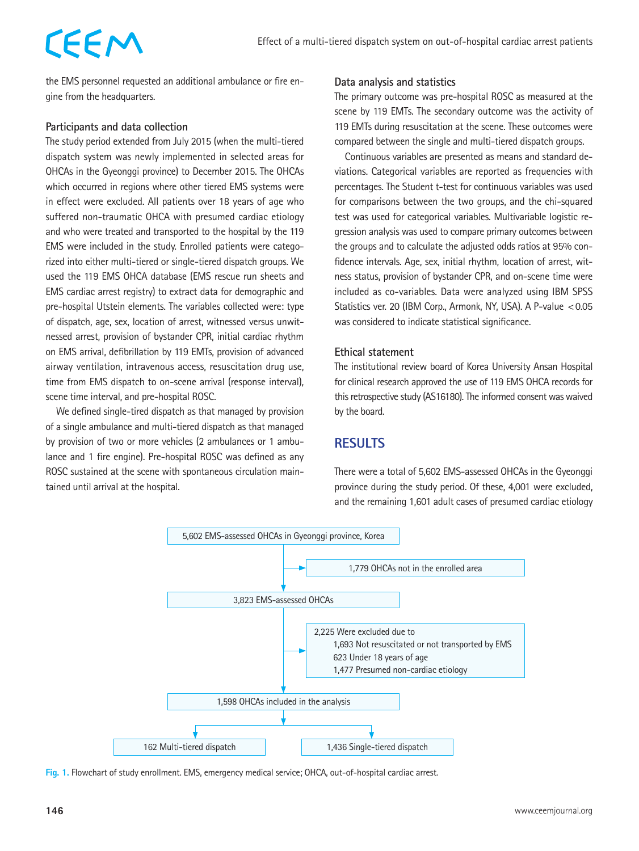# EEM

the EMS personnel requested an additional ambulance or fire engine from the headquarters.

#### **Participants and data collection**

The study period extended from July 2015 (when the multi-tiered dispatch system was newly implemented in selected areas for OHCAs in the Gyeonggi province) to December 2015. The OHCAs which occurred in regions where other tiered EMS systems were in effect were excluded. All patients over 18 years of age who suffered non-traumatic OHCA with presumed cardiac etiology and who were treated and transported to the hospital by the 119 EMS were included in the study. Enrolled patients were categorized into either multi-tiered or single-tiered dispatch groups. We used the 119 EMS OHCA database (EMS rescue run sheets and EMS cardiac arrest registry) to extract data for demographic and pre-hospital Utstein elements. The variables collected were: type of dispatch, age, sex, location of arrest, witnessed versus unwitnessed arrest, provision of bystander CPR, initial cardiac rhythm on EMS arrival, defibrillation by 119 EMTs, provision of advanced airway ventilation, intravenous access, resuscitation drug use, time from EMS dispatch to on-scene arrival (response interval), scene time interval, and pre-hospital ROSC.

We defined single-tired dispatch as that managed by provision of a single ambulance and multi-tiered dispatch as that managed by provision of two or more vehicles (2 ambulances or 1 ambulance and 1 fire engine). Pre-hospital ROSC was defined as any ROSC sustained at the scene with spontaneous circulation maintained until arrival at the hospital.

#### **Data analysis and statistics**

The primary outcome was pre-hospital ROSC as measured at the scene by 119 EMTs. The secondary outcome was the activity of 119 EMTs during resuscitation at the scene. These outcomes were compared between the single and multi-tiered dispatch groups.

Continuous variables are presented as means and standard deviations. Categorical variables are reported as frequencies with percentages. The Student t-test for continuous variables was used for comparisons between the two groups, and the chi-squared test was used for categorical variables. Multivariable logistic regression analysis was used to compare primary outcomes between the groups and to calculate the adjusted odds ratios at 95% confidence intervals. Age, sex, initial rhythm, location of arrest, witness status, provision of bystander CPR, and on-scene time were included as co-variables. Data were analyzed using IBM SPSS Statistics ver. 20 (IBM Corp., Armonk, NY, USA). A P-value <0.05 was considered to indicate statistical significance.

#### **Ethical statement**

The institutional review board of Korea University Ansan Hospital for clinical research approved the use of 119 EMS OHCA records for this retrospective study (AS16180). The informed consent was waived by the board.

# **RESULTS**

There were a total of 5,602 EMS-assessed OHCAs in the Gyeonggi province during the study period. Of these, 4,001 were excluded, and the remaining 1,601 adult cases of presumed cardiac etiology



**Fig. 1.** Flowchart of study enrollment. EMS, emergency medical service; OHCA, out-of-hospital cardiac arrest.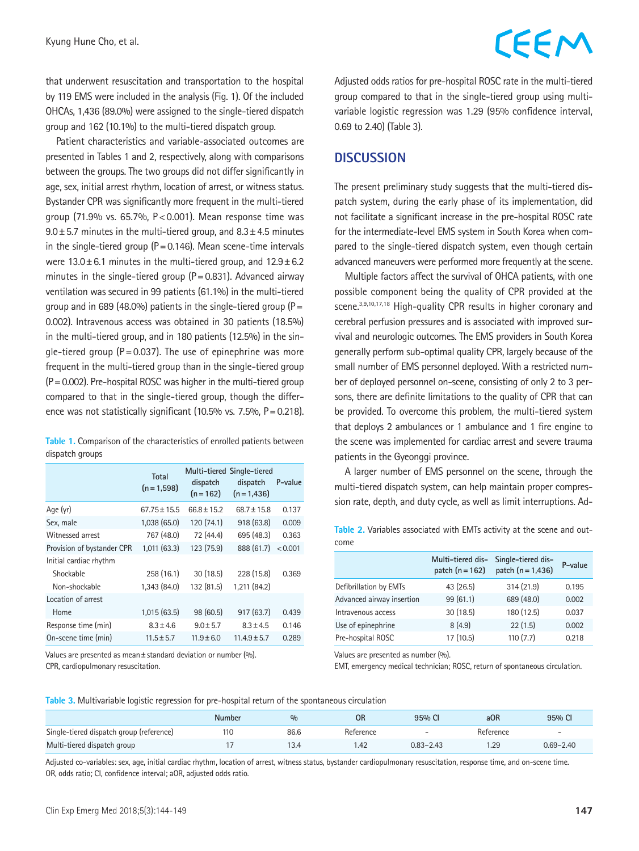that underwent resuscitation and transportation to the hospital by 119 EMS were included in the analysis (Fig. 1). Of the included OHCAs, 1,436 (89.0%) were assigned to the single-tiered dispatch group and 162 (10.1%) to the multi-tiered dispatch group.

Patient characteristics and variable-associated outcomes are presented in Tables 1 and 2, respectively, along with comparisons between the groups. The two groups did not differ significantly in age, sex, initial arrest rhythm, location of arrest, or witness status. Bystander CPR was significantly more frequent in the multi-tiered group (71.9% vs. 65.7%, P<0.001). Mean response time was  $9.0 \pm 5.7$  minutes in the multi-tiered group, and  $8.3 \pm 4.5$  minutes in the single-tiered group ( $P = 0.146$ ). Mean scene-time intervals were  $13.0 \pm 6.1$  minutes in the multi-tiered group, and  $12.9 \pm 6.2$ minutes in the single-tiered group  $(P=0.831)$ . Advanced airway ventilation was secured in 99 patients (61.1%) in the multi-tiered group and in 689 (48.0%) patients in the single-tiered group ( $P=$ 0.002). Intravenous access was obtained in 30 patients (18.5%) in the multi-tiered group, and in 180 patients (12.5%) in the single-tiered group ( $P = 0.037$ ). The use of epinephrine was more frequent in the multi-tiered group than in the single-tiered group  $(P=0.002)$ . Pre-hospital ROSC was higher in the multi-tiered group compared to that in the single-tiered group, though the difference was not statistically significant (10.5% vs. 7.5%,  $P = 0.218$ ).

**Table 1.** Comparison of the characteristics of enrolled patients between dispatch groups

|                            | Total<br>$(n = 1,598)$ | dispatch<br>$(n = 162)$ | Multi-tiered Single-tiered<br>dispatch<br>$(n=1,436)$ | P-value |
|----------------------------|------------------------|-------------------------|-------------------------------------------------------|---------|
| Age (yr)                   | 67.75 ± 15.5           | $66.8 \pm 15.2$         | $68.7 \pm 15.8$                                       | 0.137   |
| Sex, male                  | 1,038(65.0)            | 120(74.1)               | 918 (63.8)                                            | 0.009   |
| Witnessed arrest           | 767 (48.0)             | 72 (44.4)               | 695 (48.3)                                            | 0.363   |
| Provision of bystander CPR | 1,011(63.3)            | 123 (75.9)              | 888 (61.7)                                            | < 0.001 |
| Initial cardiac rhythm     |                        |                         |                                                       |         |
| Shockable                  | 258 (16.1)             | 30(18.5)                | 228 (15.8)                                            | 0.369   |
| Non-shockable              | 1,343 (84.0)           | 132 (81.5)              | 1,211 (84.2)                                          |         |
| Location of arrest         |                        |                         |                                                       |         |
| Home                       | 1,015(63.5)            | 98 (60.5)               | 917(63.7)                                             | 0.439   |
| Response time (min)        | $8.3 \pm 4.6$          | $9.0 + 5.7$             | $8.3 + 4.5$                                           | 0.146   |
| On-scene time (min)        | $11.5 + 5.7$           | $11.9 + 6.0$            | $11.4.9 + 5.7$                                        | 0.289   |

Values are presented as mean±standard deviation or number (%). CPR, cardiopulmonary resuscitation.

Adjusted odds ratios for pre-hospital ROSC rate in the multi-tiered group compared to that in the single-tiered group using multivariable logistic regression was 1.29 (95% confidence interval, 0.69 to 2.40) (Table 3).

## **DISCUSSION**

The present preliminary study suggests that the multi-tiered dispatch system, during the early phase of its implementation, did not facilitate a significant increase in the pre-hospital ROSC rate for the intermediate-level EMS system in South Korea when compared to the single-tiered dispatch system, even though certain advanced maneuvers were performed more frequently at the scene.

Multiple factors affect the survival of OHCA patients, with one possible component being the quality of CPR provided at the scene.<sup>3,9,10,17,18</sup> High-quality CPR results in higher coronary and cerebral perfusion pressures and is associated with improved survival and neurologic outcomes. The EMS providers in South Korea generally perform sub-optimal quality CPR, largely because of the small number of EMS personnel deployed. With a restricted number of deployed personnel on-scene, consisting of only 2 to 3 persons, there are definite limitations to the quality of CPR that can be provided. To overcome this problem, the multi-tiered system that deploys 2 ambulances or 1 ambulance and 1 fire engine to the scene was implemented for cardiac arrest and severe trauma patients in the Gyeonggi province.

A larger number of EMS personnel on the scene, through the multi-tiered dispatch system, can help maintain proper compression rate, depth, and duty cycle, as well as limit interruptions. Ad-

**Table 2.** Variables associated with EMTs activity at the scene and outcome

|                           | Multi-tiered dis-<br>patch $(n = 162)$ | Single-tiered dis-<br>patch $(n = 1, 436)$ | P-value |
|---------------------------|----------------------------------------|--------------------------------------------|---------|
| Defibrillation by EMTs    | 43 (26.5)                              | 314 (21.9)                                 | 0.195   |
| Advanced airway insertion | 99(61.1)                               | 689 (48.0)                                 | 0.002   |
| Intravenous access        | 30(18.5)                               | 180 (12.5)                                 | 0.037   |
| Use of epinephrine        | 8(4.9)                                 | 22(1.5)                                    | 0.002   |
| Pre-hospital ROSC         | 17(10.5)                               | 110(7.7)                                   | 0.218   |

Values are presented as number (%).

EMT, emergency medical technician; ROSC, return of spontaneous circulation.

**Table 3.** Multivariable logistic regression for pre-hospital return of the spontaneous circulation

|                                          | <b>Number</b> | 0/0  | <b>OR</b> | 95% CI                   | aOR       | 95% CI                   |
|------------------------------------------|---------------|------|-----------|--------------------------|-----------|--------------------------|
| Single-tiered dispatch group (reference) | 110           | 86.6 | Reference | $\overline{\phantom{0}}$ | Reference | $\overline{\phantom{0}}$ |
| Multi-tiered dispatch group              |               | 13.4 | l.42      | $0.83 - 2.43$            | .29       | $0.69 - 2.40$            |

Adjusted co-variables: sex, age, initial cardiac rhythm, location of arrest, witness status, bystander cardiopulmonary resuscitation, response time, and on-scene time. OR, odds ratio; CI, confidence interval; aOR, adjusted odds ratio.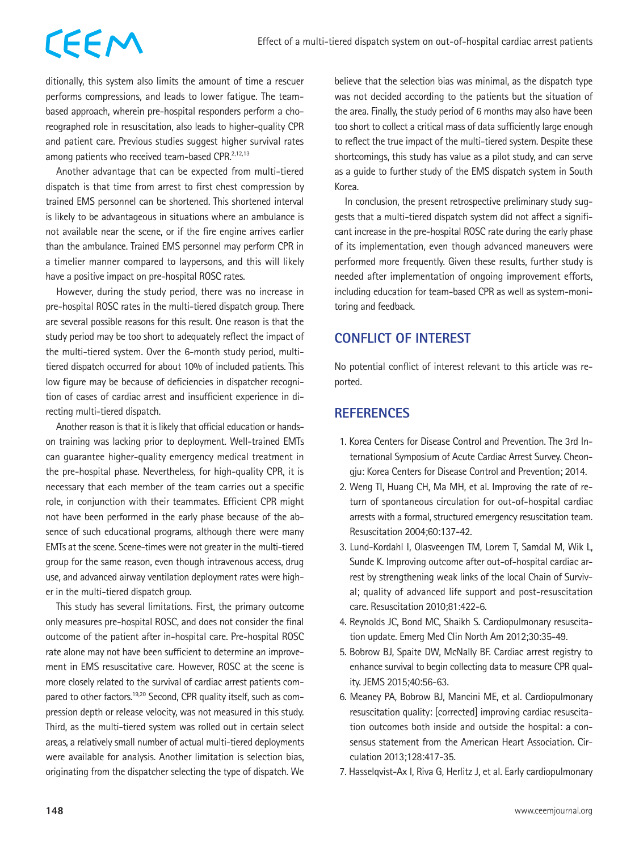# CEEM

ditionally, this system also limits the amount of time a rescuer performs compressions, and leads to lower fatigue. The teambased approach, wherein pre-hospital responders perform a choreographed role in resuscitation, also leads to higher-quality CPR and patient care. Previous studies suggest higher survival rates among patients who received team-based CPR.<sup>2,12,13</sup>

Another advantage that can be expected from multi-tiered dispatch is that time from arrest to first chest compression by trained EMS personnel can be shortened. This shortened interval is likely to be advantageous in situations where an ambulance is not available near the scene, or if the fire engine arrives earlier than the ambulance. Trained EMS personnel may perform CPR in a timelier manner compared to laypersons, and this will likely have a positive impact on pre-hospital ROSC rates.

However, during the study period, there was no increase in pre-hospital ROSC rates in the multi-tiered dispatch group. There are several possible reasons for this result. One reason is that the study period may be too short to adequately reflect the impact of the multi-tiered system. Over the 6-month study period, multitiered dispatch occurred for about 10% of included patients. This low figure may be because of deficiencies in dispatcher recognition of cases of cardiac arrest and insufficient experience in directing multi-tiered dispatch.

Another reason is that it is likely that official education or handson training was lacking prior to deployment. Well-trained EMTs can guarantee higher-quality emergency medical treatment in the pre-hospital phase. Nevertheless, for high-quality CPR, it is necessary that each member of the team carries out a specific role, in conjunction with their teammates. Efficient CPR might not have been performed in the early phase because of the absence of such educational programs, although there were many EMTs at the scene. Scene-times were not greater in the multi-tiered group for the same reason, even though intravenous access, drug use, and advanced airway ventilation deployment rates were higher in the multi-tiered dispatch group.

This study has several limitations. First, the primary outcome only measures pre-hospital ROSC, and does not consider the final outcome of the patient after in-hospital care. Pre-hospital ROSC rate alone may not have been sufficient to determine an improvement in EMS resuscitative care. However, ROSC at the scene is more closely related to the survival of cardiac arrest patients compared to other factors.<sup>19,20</sup> Second, CPR quality itself, such as compression depth or release velocity, was not measured in this study. Third, as the multi-tiered system was rolled out in certain select areas, a relatively small number of actual multi-tiered deployments were available for analysis. Another limitation is selection bias, originating from the dispatcher selecting the type of dispatch. We

believe that the selection bias was minimal, as the dispatch type was not decided according to the patients but the situation of the area. Finally, the study period of 6 months may also have been too short to collect a critical mass of data sufficiently large enough to reflect the true impact of the multi-tiered system. Despite these shortcomings, this study has value as a pilot study, and can serve as a guide to further study of the EMS dispatch system in South Korea.

In conclusion, the present retrospective preliminary study suggests that a multi-tiered dispatch system did not affect a significant increase in the pre-hospital ROSC rate during the early phase of its implementation, even though advanced maneuvers were performed more frequently. Given these results, further study is needed after implementation of ongoing improvement efforts, including education for team-based CPR as well as system-monitoring and feedback.

# **CONFLICT OF INTEREST**

No potential conflict of interest relevant to this article was reported.

## **REFERENCES**

- 1. Korea Centers for Disease Control and Prevention. The 3rd International Symposium of Acute Cardiac Arrest Survey. Cheongju: Korea Centers for Disease Control and Prevention; 2014.
- 2. Weng TI, Huang CH, Ma MH, et al. Improving the rate of return of spontaneous circulation for out-of-hospital cardiac arrests with a formal, structured emergency resuscitation team. Resuscitation 2004;60:137-42.
- 3. Lund-Kordahl I, Olasveengen TM, Lorem T, Samdal M, Wik L, Sunde K. Improving outcome after out-of-hospital cardiac arrest by strengthening weak links of the local Chain of Survival; quality of advanced life support and post-resuscitation care. Resuscitation 2010;81:422-6.
- 4. Reynolds JC, Bond MC, Shaikh S. Cardiopulmonary resuscitation update. Emerg Med Clin North Am 2012;30:35-49.
- 5. Bobrow BJ, Spaite DW, McNally BF. Cardiac arrest registry to enhance survival to begin collecting data to measure CPR quality. JEMS 2015;40:56-63.
- 6. Meaney PA, Bobrow BJ, Mancini ME, et al. Cardiopulmonary resuscitation quality: [corrected] improving cardiac resuscitation outcomes both inside and outside the hospital: a consensus statement from the American Heart Association. Circulation 2013;128:417-35.
- 7. Hasselqvist-Ax I, Riva G, Herlitz J, et al. Early cardiopulmonary